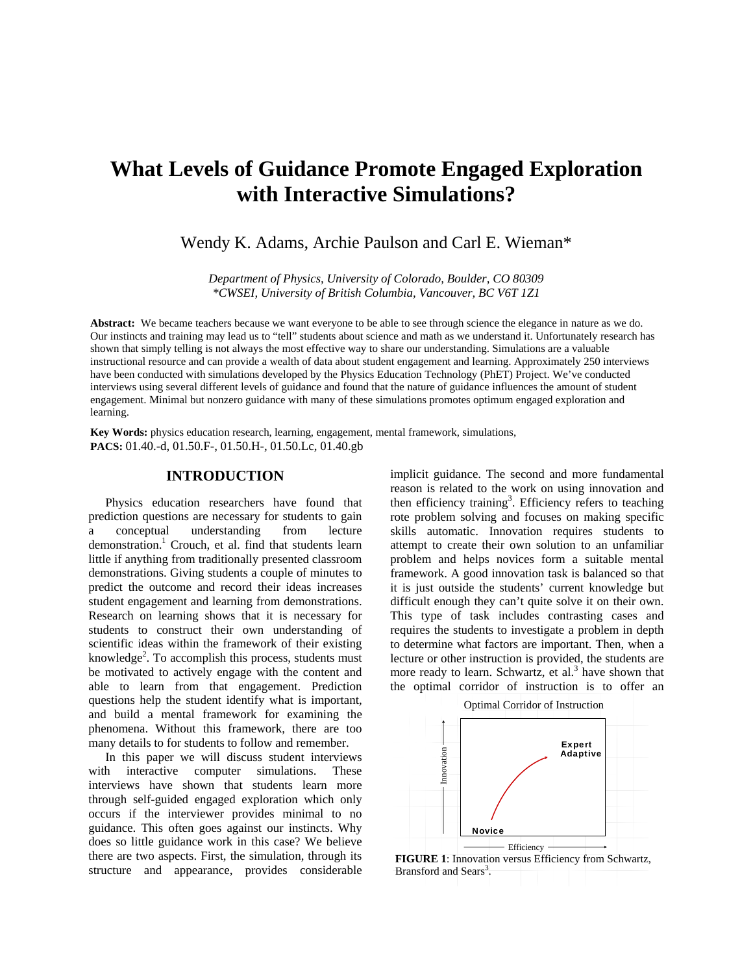# **What Levels of Guidance Promote Engaged Exploration with Interactive Simulations?**

Wendy K. Adams, Archie Paulson and Carl E. Wieman\*

*Department of Physics, University of Colorado, Boulder, CO 80309 \*CWSEI, University of British Columbia, Vancouver, BC V6T 1Z1* 

**Abstract:** We became teachers because we want everyone to be able to see through science the elegance in nature as we do. Our instincts and training may lead us to "tell" students about science and math as we understand it. Unfortunately research has shown that simply telling is not always the most effective way to share our understanding. Simulations are a valuable instructional resource and can provide a wealth of data about student engagement and learning. Approximately 250 interviews have been conducted with simulations developed by the Physics Education Technology (PhET) Project. We've conducted interviews using several different levels of guidance and found that the nature of guidance influences the amount of student engagement. Minimal but nonzero guidance with many of these simulations promotes optimum engaged exploration and learning.

**Key Words:** physics education research, learning, engagement, mental framework, simulations, **PACS:** 01.40.-d, 01.50.F-, 01.50.H-, 01.50.Lc, 01.40.gb

## **INTRODUCTION**

Physics education researchers have found that prediction questions are necessary for students to gain a conceptual understanding from lecture demonstration.<sup>1</sup> Crouch, et al. find that students learn little if anything from traditionally presented classroom demonstrations. Giving students a couple of minutes to predict the outcome and record their ideas increases student engagement and learning from demonstrations. Research on learning shows that it is necessary for students to construct their own understanding of scientific ideas within the framework of their existing knowledge<sup>2</sup>. To accomplish this process, students must be motivated to actively engage with the content and able to learn from that engagement. Prediction questions help the student identify what is important, and build a mental framework for examining the phenomena. Without this framework, there are too many details to for students to follow and remember.

In this paper we will discuss student interviews with interactive computer simulations. These interviews have shown that students learn more through self-guided engaged exploration which only occurs if the interviewer provides minimal to no guidance. This often goes against our instincts. Why does so little guidance work in this case? We believe there are two aspects. First, the simulation, through its structure and appearance, provides considerable implicit guidance. The second and more fundamental reason is related to the work on using innovation and then efficiency training<sup>3</sup>. Efficiency refers to teaching rote problem solving and focuses on making specific skills automatic. Innovation requires students to attempt to create their own solution to an unfamiliar problem and helps novices form a suitable mental framework. A good innovation task is balanced so that it is just outside the students' current knowledge but difficult enough they can't quite solve it on their own. This type of task includes contrasting cases and requires the students to investigate a problem in depth to determine what factors are important. Then, when a lecture or other instruction is provided, the students are more ready to learn. Schwartz, et al.<sup>3</sup> have shown that the optimal corridor of instruction is to offer an



**FIGURE 1**: Innovation versus Efficiency from Schwartz, Bransford and Sears<sup>3</sup>.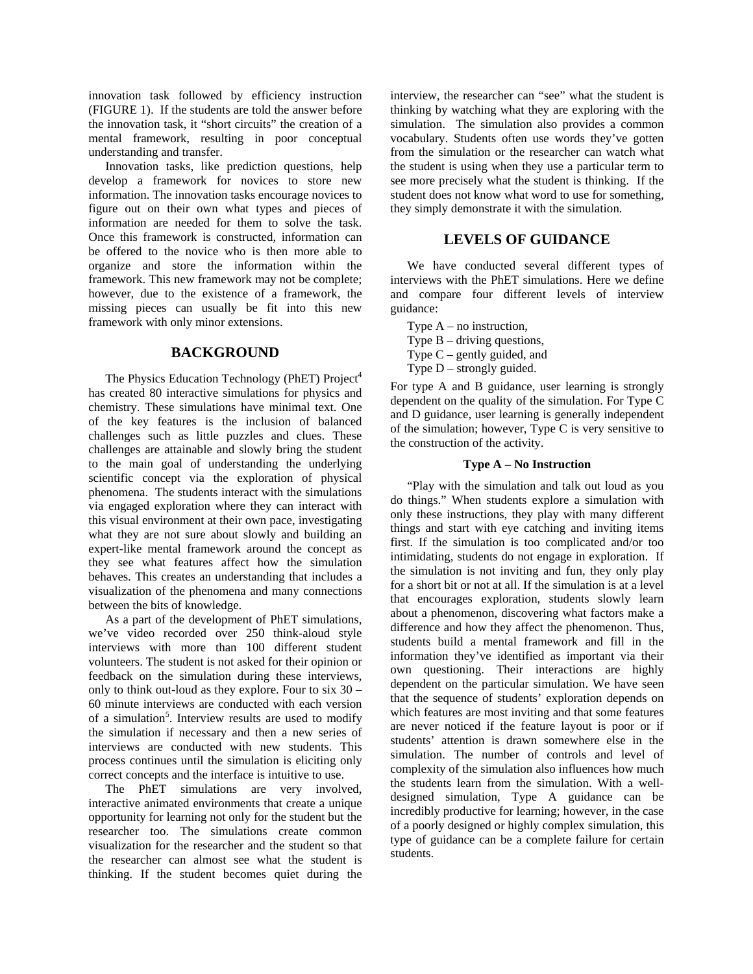innovation task followed by efficiency instruction (FIGURE 1). If the students are told the answer before the innovation task, it "short circuits" the creation of a mental framework, resulting in poor conceptual understanding and transfer.

Innovation tasks, like prediction questions, help develop a framework for novices to store new information. The innovation tasks encourage novices to figure out on their own what types and pieces of information are needed for them to solve the task. Once this framework is constructed, information can be offered to the novice who is then more able to organize and store the information within the framework. This new framework may not be complete; however, due to the existence of a framework, the missing pieces can usually be fit into this new framework with only minor extensions.

## **BACKGROUND**

The Physics Education Technology (PhET) Project<sup>4</sup> has created 80 interactive simulations for physics and chemistry. These simulations have minimal text. One of the key features is the inclusion of balanced challenges such as little puzzles and clues. These challenges are attainable and slowly bring the student to the main goal of understanding the underlying scientific concept via the exploration of physical phenomena. The students interact with the simulations via engaged exploration where they can interact with this visual environment at their own pace, investigating what they are not sure about slowly and building an expert-like mental framework around the concept as they see what features affect how the simulation behaves. This creates an understanding that includes a visualization of the phenomena and many connections between the bits of knowledge.

As a part of the development of PhET simulations, we've video recorded over 250 think-aloud style interviews with more than 100 different student volunteers. The student is not asked for their opinion or feedback on the simulation during these interviews, only to think out-loud as they explore. Four to six 30 – 60 minute interviews are conducted with each version of a simulation<sup>5</sup>. Interview results are used to modify the simulation if necessary and then a new series of interviews are conducted with new students. This process continues until the simulation is eliciting only correct concepts and the interface is intuitive to use.

The PhET simulations are very involved, interactive animated environments that create a unique opportunity for learning not only for the student but the researcher too. The simulations create common visualization for the researcher and the student so that the researcher can almost see what the student is thinking. If the student becomes quiet during the interview, the researcher can "see" what the student is thinking by watching what they are exploring with the simulation. The simulation also provides a common vocabulary. Students often use words they've gotten from the simulation or the researcher can watch what the student is using when they use a particular term to see more precisely what the student is thinking. If the student does not know what word to use for something, they simply demonstrate it with the simulation.

# **LEVELS OF GUIDANCE**

We have conducted several different types of interviews with the PhET simulations. Here we define and compare four different levels of interview guidance:

- Type A no instruction, Type  $B -$  driving questions,
- Type C gently guided, and
- Type  $D$  strongly guided.

For type A and B guidance, user learning is strongly dependent on the quality of the simulation. For Type C and D guidance, user learning is generally independent of the simulation; however, Type C is very sensitive to the construction of the activity.

### **Type A – No Instruction**

"Play with the simulation and talk out loud as you do things." When students explore a simulation with only these instructions, they play with many different things and start with eye catching and inviting items first. If the simulation is too complicated and/or too intimidating, students do not engage in exploration. If the simulation is not inviting and fun, they only play for a short bit or not at all. If the simulation is at a level that encourages exploration, students slowly learn about a phenomenon, discovering what factors make a difference and how they affect the phenomenon. Thus, students build a mental framework and fill in the information they've identified as important via their own questioning. Their interactions are highly dependent on the particular simulation. We have seen that the sequence of students' exploration depends on which features are most inviting and that some features are never noticed if the feature layout is poor or if students' attention is drawn somewhere else in the simulation. The number of controls and level of complexity of the simulation also influences how much the students learn from the simulation. With a welldesigned simulation, Type A guidance can be incredibly productive for learning; however, in the case of a poorly designed or highly complex simulation, this type of guidance can be a complete failure for certain students.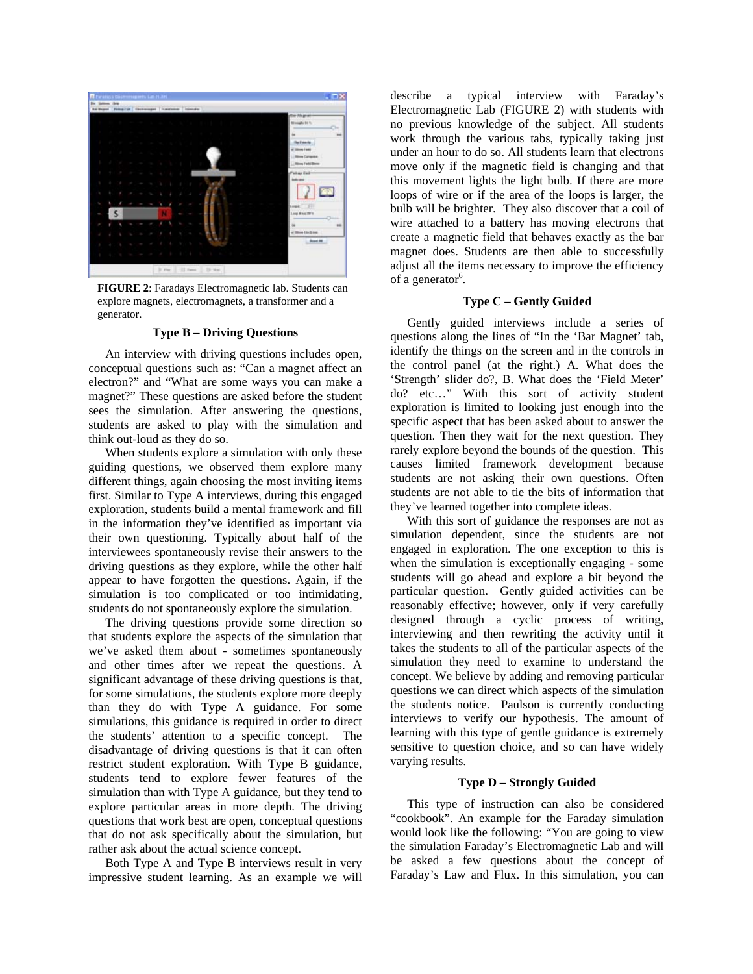

**FIGURE 2**: Faradays Electromagnetic lab. Students can explore magnets, electromagnets, a transformer and a generator.

#### **Type B – Driving Questions**

An interview with driving questions includes open, conceptual questions such as: "Can a magnet affect an electron?" and "What are some ways you can make a magnet?" These questions are asked before the student sees the simulation. After answering the questions, students are asked to play with the simulation and think out-loud as they do so.

When students explore a simulation with only these guiding questions, we observed them explore many different things, again choosing the most inviting items first. Similar to Type A interviews, during this engaged exploration, students build a mental framework and fill in the information they've identified as important via their own questioning. Typically about half of the interviewees spontaneously revise their answers to the driving questions as they explore, while the other half appear to have forgotten the questions. Again, if the simulation is too complicated or too intimidating, students do not spontaneously explore the simulation.

The driving questions provide some direction so that students explore the aspects of the simulation that we've asked them about - sometimes spontaneously and other times after we repeat the questions. A significant advantage of these driving questions is that, for some simulations, the students explore more deeply than they do with Type A guidance. For some simulations, this guidance is required in order to direct the students' attention to a specific concept. The disadvantage of driving questions is that it can often restrict student exploration. With Type B guidance, students tend to explore fewer features of the simulation than with Type A guidance, but they tend to explore particular areas in more depth. The driving questions that work best are open, conceptual questions that do not ask specifically about the simulation, but rather ask about the actual science concept.

Both Type A and Type B interviews result in very impressive student learning. As an example we will

describe a typical interview with Faraday's Electromagnetic Lab (FIGURE 2) with students with no previous knowledge of the subject. All students work through the various tabs, typically taking just under an hour to do so. All students learn that electrons move only if the magnetic field is changing and that this movement lights the light bulb. If there are more loops of wire or if the area of the loops is larger, the bulb will be brighter. They also discover that a coil of wire attached to a battery has moving electrons that create a magnetic field that behaves exactly as the bar magnet does. Students are then able to successfully adjust all the items necessary to improve the efficiency of a generator<sup>6</sup>.

### **Type C – Gently Guided**

Gently guided interviews include a series of questions along the lines of "In the 'Bar Magnet' tab, identify the things on the screen and in the controls in the control panel (at the right.) A. What does the 'Strength' slider do?, B. What does the 'Field Meter' do? etc…" With this sort of activity student exploration is limited to looking just enough into the specific aspect that has been asked about to answer the question. Then they wait for the next question. They rarely explore beyond the bounds of the question. This causes limited framework development because students are not asking their own questions. Often students are not able to tie the bits of information that they've learned together into complete ideas.

With this sort of guidance the responses are not as simulation dependent, since the students are not engaged in exploration. The one exception to this is when the simulation is exceptionally engaging - some students will go ahead and explore a bit beyond the particular question. Gently guided activities can be reasonably effective; however, only if very carefully designed through a cyclic process of writing, interviewing and then rewriting the activity until it takes the students to all of the particular aspects of the simulation they need to examine to understand the concept. We believe by adding and removing particular questions we can direct which aspects of the simulation the students notice. Paulson is currently conducting interviews to verify our hypothesis. The amount of learning with this type of gentle guidance is extremely sensitive to question choice, and so can have widely varying results.

#### **Type D – Strongly Guided**

This type of instruction can also be considered "cookbook". An example for the Faraday simulation would look like the following: "You are going to view the simulation Faraday's Electromagnetic Lab and will be asked a few questions about the concept of Faraday's Law and Flux. In this simulation, you can